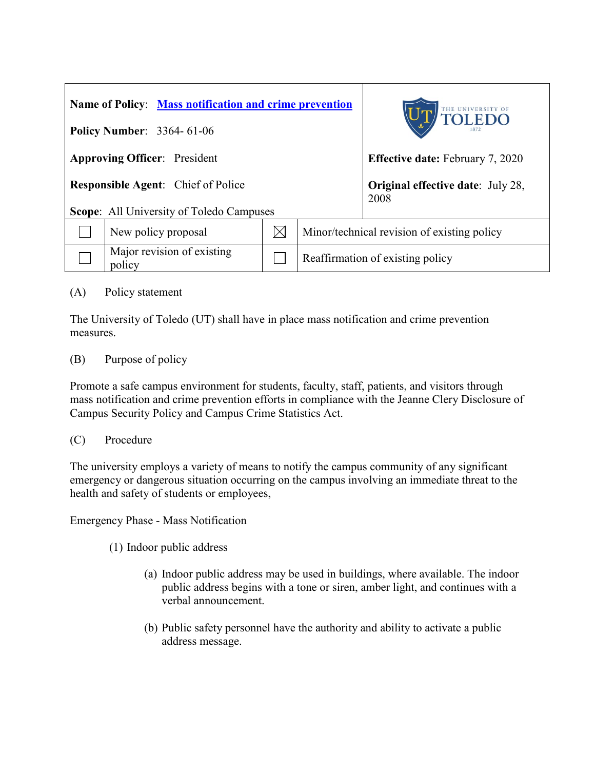| Name of Policy: Mass notification and crime prevention |                                      |  |                                                  | THE UNIVERSITY OF TOLEDO |
|--------------------------------------------------------|--------------------------------------|--|--------------------------------------------------|--------------------------|
| <b>Policy Number: 3364-61-06</b>                       |                                      |  |                                                  |                          |
| <b>Approving Officer:</b> President                    |                                      |  | <b>Effective date:</b> February 7, 2020          |                          |
| <b>Responsible Agent:</b> Chief of Police              |                                      |  | <b>Original effective date:</b> July 28,<br>2008 |                          |
| <b>Scope:</b> All University of Toledo Campuses        |                                      |  |                                                  |                          |
|                                                        | New policy proposal                  |  | Minor/technical revision of existing policy      |                          |
|                                                        | Major revision of existing<br>policy |  | Reaffirmation of existing policy                 |                          |

(A) Policy statement

The University of Toledo (UT) shall have in place mass notification and crime prevention measures.

(B) Purpose of policy

Promote a safe campus environment for students, faculty, staff, patients, and visitors through mass notification and crime prevention efforts in compliance with the Jeanne Clery Disclosure of Campus Security Policy and Campus Crime Statistics Act.

## (C) Procedure

The university employs a variety of means to notify the campus community of any significant emergency or dangerous situation occurring on the campus involving an immediate threat to the health and safety of students or employees,

Emergency Phase - Mass Notification

(1) Indoor public address

- (a) Indoor public address may be used in buildings, where available. The indoor public address begins with a tone or siren, amber light, and continues with a verbal announcement.
- (b) Public safety personnel have the authority and ability to activate a public address message.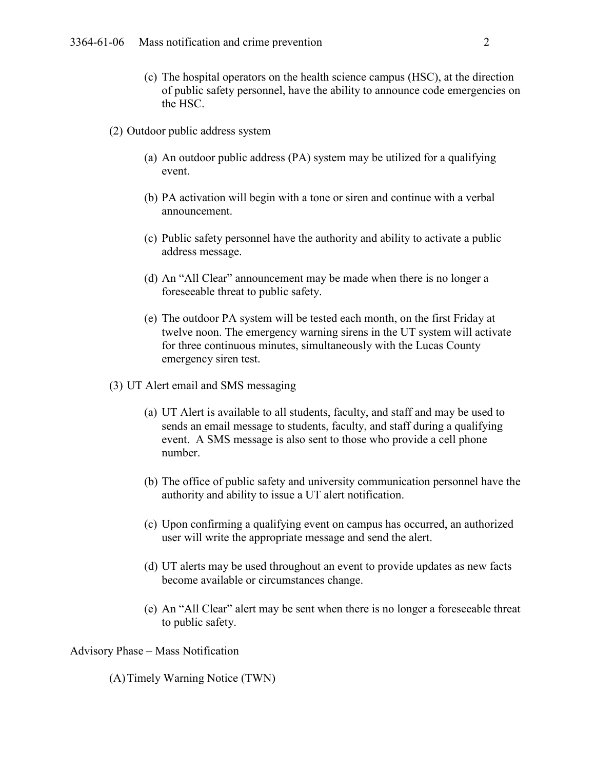- (c) The hospital operators on the health science campus (HSC), at the direction of public safety personnel, have the ability to announce code emergencies on the HSC.
- (2) Outdoor public address system
	- (a) An outdoor public address (PA) system may be utilized for a qualifying event.
	- (b) PA activation will begin with a tone or siren and continue with a verbal announcement.
	- (c) Public safety personnel have the authority and ability to activate a public address message.
	- (d) An "All Clear" announcement may be made when there is no longer a foreseeable threat to public safety.
	- (e) The outdoor PA system will be tested each month, on the first Friday at twelve noon. The emergency warning sirens in the UT system will activate for three continuous minutes, simultaneously with the Lucas County emergency siren test.
- (3) UT Alert email and SMS messaging
	- (a) UT Alert is available to all students, faculty, and staff and may be used to sends an email message to students, faculty, and staff during a qualifying event. A SMS message is also sent to those who provide a cell phone number.
	- (b) The office of public safety and university communication personnel have the authority and ability to issue a UT alert notification.
	- (c) Upon confirming a qualifying event on campus has occurred, an authorized user will write the appropriate message and send the alert.
	- (d) UT alerts may be used throughout an event to provide updates as new facts become available or circumstances change.
	- (e) An "All Clear" alert may be sent when there is no longer a foreseeable threat to public safety.

Advisory Phase – Mass Notification

(A)Timely Warning Notice (TWN)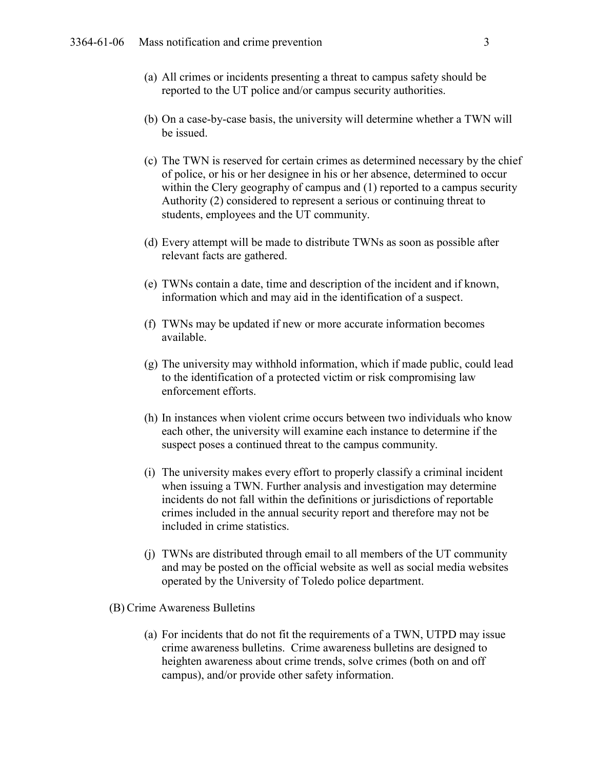- (a) All crimes or incidents presenting a threat to campus safety should be reported to the UT police and/or campus security authorities.
- (b) On a case-by-case basis, the university will determine whether a TWN will be issued.
- (c) The TWN is reserved for certain crimes as determined necessary by the chief of police, or his or her designee in his or her absence, determined to occur within the Clery geography of campus and (1) reported to a campus security Authority (2) considered to represent a serious or continuing threat to students, employees and the UT community.
- (d) Every attempt will be made to distribute TWNs as soon as possible after relevant facts are gathered.
- (e) TWNs contain a date, time and description of the incident and if known, information which and may aid in the identification of a suspect.
- (f) TWNs may be updated if new or more accurate information becomes available.
- (g) The university may withhold information, which if made public, could lead to the identification of a protected victim or risk compromising law enforcement efforts.
- (h) In instances when violent crime occurs between two individuals who know each other, the university will examine each instance to determine if the suspect poses a continued threat to the campus community.
- (i) The university makes every effort to properly classify a criminal incident when issuing a TWN. Further analysis and investigation may determine incidents do not fall within the definitions or jurisdictions of reportable crimes included in the annual security report and therefore may not be included in crime statistics.
- (j) TWNs are distributed through email to all members of the UT community and may be posted on the official website as well as social media websites operated by the University of Toledo police department.
- (B) Crime Awareness Bulletins
	- (a) For incidents that do not fit the requirements of a TWN, UTPD may issue crime awareness bulletins. Crime awareness bulletins are designed to heighten awareness about crime trends, solve crimes (both on and off campus), and/or provide other safety information.